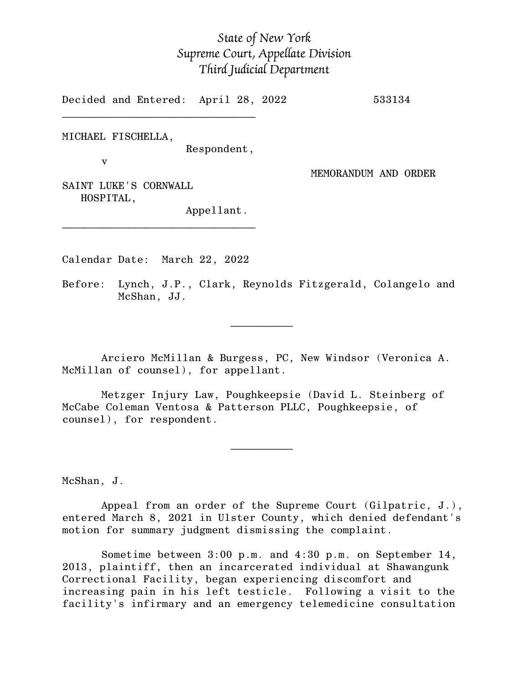## *State of New York Supreme Court, Appellate Division Third Judicial Department*

Decided and Entered: April 28, 2022 533134

MICHAEL FISCHELLA,

Respondent,

v

MEMORANDUM AND ORDER

SAINT LUKE'S CORNWALL HOSPITAL,

Appellant.

Calendar Date: March 22, 2022

 $\mathcal{L}_\text{max}$  and  $\mathcal{L}_\text{max}$  are the set of  $\mathcal{L}_\text{max}$  . The set of  $\mathcal{L}_\text{max}$ 

 $\mathcal{L}_\text{max}$  and  $\mathcal{L}_\text{max}$  are the set of  $\mathcal{L}_\text{max}$  . The set of  $\mathcal{L}_\text{max}$ 

\_\_\_\_\_\_\_\_\_\_\_\_\_\_\_\_\_\_\_\_\_\_\_\_\_\_\_\_\_\_\_

 $\mathcal{L}_\text{max}$ 

Before: Lynch, J.P., Clark, Reynolds Fitzgerald, Colangelo and McShan, JJ.

Arciero McMillan & Burgess, PC, New Windsor (Veronica A. McMillan of counsel), for appellant.

Metzger Injury Law, Poughkeepsie (David L. Steinberg of McCabe Coleman Ventosa & Patterson PLLC, Poughkeepsie, of counsel), for respondent.

McShan, J.

Appeal from an order of the Supreme Court (Gilpatric, J.), entered March 8, 2021 in Ulster County, which denied defendant's motion for summary judgment dismissing the complaint.

Sometime between 3:00 p.m. and 4:30 p.m. on September 14, 2013, plaintiff, then an incarcerated individual at Shawangunk Correctional Facility, began experiencing discomfort and increasing pain in his left testicle. Following a visit to the facility's infirmary and an emergency telemedicine consultation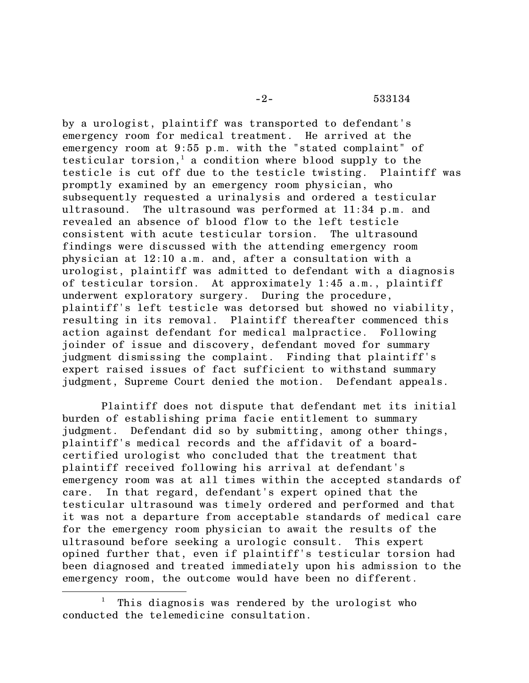-2- 533134

by a urologist, plaintiff was transported to defendant's emergency room for medical treatment. He arrived at the emergency room at 9:55 p.m. with the "stated complaint" of testicular torsion, <sup>1</sup> a condition where blood supply to the testicle is cut off due to the testicle twisting. Plaintiff was promptly examined by an emergency room physician, who subsequently requested a urinalysis and ordered a testicular ultrasound. The ultrasound was performed at 11:34 p.m. and revealed an absence of blood flow to the left testicle consistent with acute testicular torsion. The ultrasound findings were discussed with the attending emergency room physician at 12:10 a.m. and, after a consultation with a urologist, plaintiff was admitted to defendant with a diagnosis of testicular torsion. At approximately 1:45 a.m., plaintiff underwent exploratory surgery. During the procedure, plaintiff's left testicle was detorsed but showed no viability, resulting in its removal. Plaintiff thereafter commenced this action against defendant for medical malpractice. Following joinder of issue and discovery, defendant moved for summary judgment dismissing the complaint. Finding that plaintiff's expert raised issues of fact sufficient to withstand summary judgment, Supreme Court denied the motion. Defendant appeals.

Plaintiff does not dispute that defendant met its initial burden of establishing prima facie entitlement to summary judgment. Defendant did so by submitting, among other things, plaintiff's medical records and the affidavit of a boardcertified urologist who concluded that the treatment that plaintiff received following his arrival at defendant's emergency room was at all times within the accepted standards of care. In that regard, defendant's expert opined that the testicular ultrasound was timely ordered and performed and that it was not a departure from acceptable standards of medical care for the emergency room physician to await the results of the ultrasound before seeking a urologic consult. This expert opined further that, even if plaintiff's testicular torsion had been diagnosed and treated immediately upon his admission to the emergency room, the outcome would have been no different.

This diagnosis was rendered by the urologist who conducted the telemedicine consultation.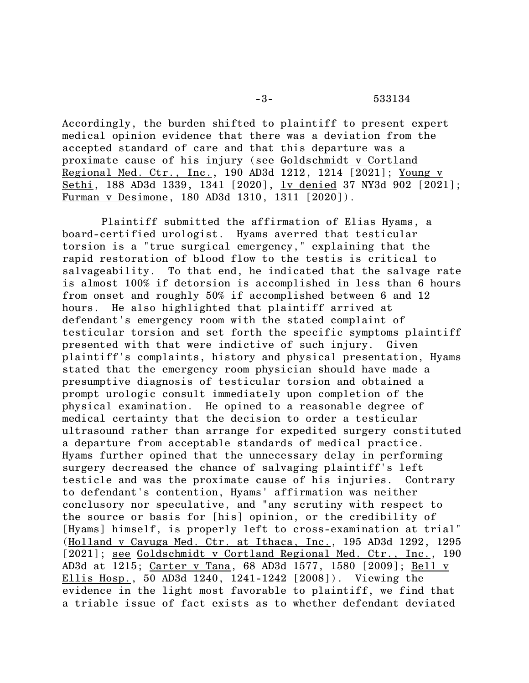Accordingly, the burden shifted to plaintiff to present expert medical opinion evidence that there was a deviation from the accepted standard of care and that this departure was a proximate cause of his injury (see Goldschmidt v Cortland Regional Med. Ctr., Inc., 190 AD3d 1212, 1214 [2021]; Young v Sethi, 188 AD3d 1339, 1341 [2020], <u>lv denied</u> 37 NY3d 902 [2021]; Furman v Desimone, 180 AD3d 1310, 1311 [2020]).

Plaintiff submitted the affirmation of Elias Hyams, a board-certified urologist. Hyams averred that testicular torsion is a "true surgical emergency," explaining that the rapid restoration of blood flow to the testis is critical to salvageability. To that end, he indicated that the salvage rate is almost 100% if detorsion is accomplished in less than 6 hours from onset and roughly 50% if accomplished between 6 and 12 hours. He also highlighted that plaintiff arrived at defendant's emergency room with the stated complaint of testicular torsion and set forth the specific symptoms plaintiff presented with that were indictive of such injury. Given plaintiff's complaints, history and physical presentation, Hyams stated that the emergency room physician should have made a presumptive diagnosis of testicular torsion and obtained a prompt urologic consult immediately upon completion of the physical examination. He opined to a reasonable degree of medical certainty that the decision to order a testicular ultrasound rather than arrange for expedited surgery constituted a departure from acceptable standards of medical practice. Hyams further opined that the unnecessary delay in performing surgery decreased the chance of salvaging plaintiff's left testicle and was the proximate cause of his injuries. Contrary to defendant's contention, Hyams' affirmation was neither conclusory nor speculative, and "any scrutiny with respect to the source or basis for [his] opinion, or the credibility of [Hyams] himself, is properly left to cross-examination at trial" (Holland v Cayuga Med. Ctr. at Ithaca, Inc., 195 AD3d 1292, 1295 [2021]; <u>see Goldschmidt v Cortland Regional Med. Ctr., Inc.</u>, 190 AD3d at 1215; Carter v Tana, 68 AD3d 1577, 1580 [2009]; Bell v Ellis Hosp., 50 AD3d 1240, 1241-1242 [2008]). Viewing the evidence in the light most favorable to plaintiff, we find that a triable issue of fact exists as to whether defendant deviated